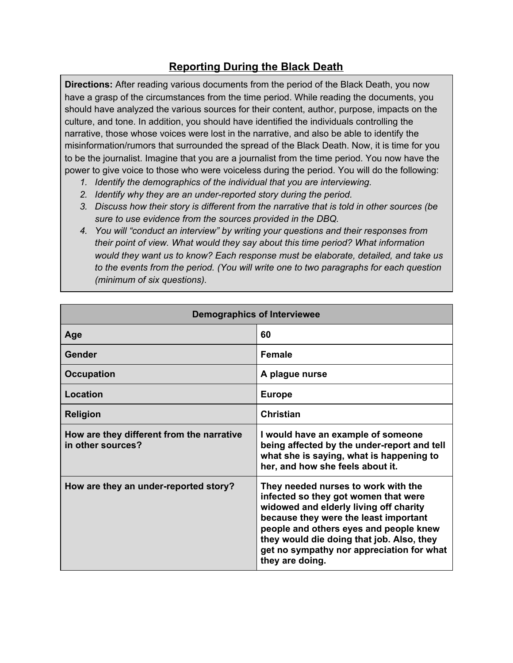## **Reporting During the Black Death**

**Directions:** After reading various documents from the period of the Black Death, you now have a grasp of the circumstances from the time period. While reading the documents, you should have analyzed the various sources for their content, author, purpose, impacts on the culture, and tone. In addition, you should have identified the individuals controlling the narrative, those whose voices were lost in the narrative, and also be able to identify the misinformation/rumors that surrounded the spread of the Black Death. Now, it is time for you to be the journalist. Imagine that you are a journalist from the time period. You now have the power to give voice to those who were voiceless during the period. You will do the following:

- *1. Identify the demographics of the individual that you are interviewing.*
- *2. Identify why they are an under-reported story during the period.*
- *3. Discuss how their story is different from the narrative that is told in other sources (be sure to use evidence from the sources provided in the DBQ.*
- *4. You will "conduct an interview" by writing your questions and their responses from their point of view. What would they say about this time period? What information would they want us to know? Each response must be elaborate, detailed, and take us to the events from the period. (You will write one to two paragraphs for each question (minimum of six questions).*

| <b>Demographics of Interviewee</b>                             |                                                                                                                                                                                                                                                                                                                       |
|----------------------------------------------------------------|-----------------------------------------------------------------------------------------------------------------------------------------------------------------------------------------------------------------------------------------------------------------------------------------------------------------------|
| Age                                                            | 60                                                                                                                                                                                                                                                                                                                    |
| Gender                                                         | <b>Female</b>                                                                                                                                                                                                                                                                                                         |
| <b>Occupation</b>                                              | A plague nurse                                                                                                                                                                                                                                                                                                        |
| Location                                                       | <b>Europe</b>                                                                                                                                                                                                                                                                                                         |
| <b>Religion</b>                                                | <b>Christian</b>                                                                                                                                                                                                                                                                                                      |
| How are they different from the narrative<br>in other sources? | I would have an example of someone<br>being affected by the under-report and tell<br>what she is saying, what is happening to<br>her, and how she feels about it.                                                                                                                                                     |
| How are they an under-reported story?                          | They needed nurses to work with the<br>infected so they got women that were<br>widowed and elderly living off charity<br>because they were the least important<br>people and others eyes and people knew<br>they would die doing that job. Also, they<br>get no sympathy nor appreciation for what<br>they are doing. |